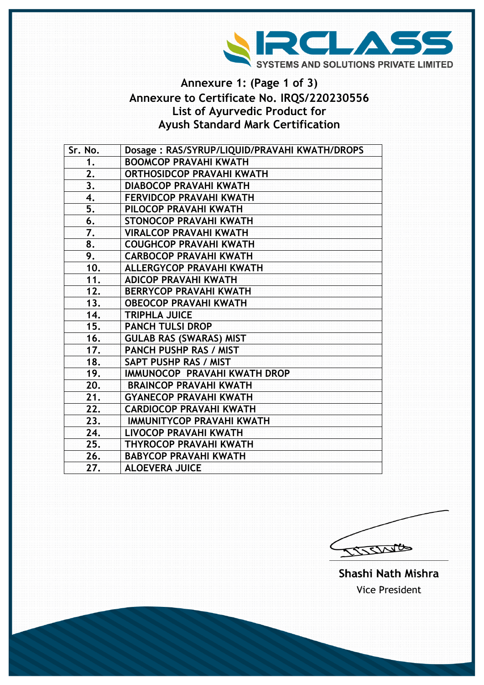

## **Annexure 1: (Page 1 of 3) Annexure to Certificate No. IRQS/220230556 List of Ayurvedic Product for Ayush Standard Mark Certification**

| Sr. No. | Dosage: RAS/SYRUP/LIQUID/PRAVAHI KWATH/DROPS |
|---------|----------------------------------------------|
| 1.      | <b>BOOMCOP PRAVAHI KWATH</b>                 |
| 2.      | <b>ORTHOSIDCOP PRAVAHI KWATH</b>             |
| 3.      | <b>DIABOCOP PRAVAHI KWATH</b>                |
| 4.      | <b>FERVIDCOP PRAVAHI KWATH</b>               |
| 5.      | PILOCOP PRAVAHI KWATH                        |
| 6.      | <b>STONOCOP PRAVAHI KWATH</b>                |
| 7.      | <b>VIRALCOP PRAVAHI KWATH</b>                |
| 8.      | <b>COUGHCOP PRAVAHI KWATH</b>                |
| 9.      | <b>CARBOCOP PRAVAHI KWATH</b>                |
| 10.     | <b>ALLERGYCOP PRAVAHI KWATH</b>              |
| 11.     | <b>ADICOP PRAVAHI KWATH</b>                  |
| 12.     | <b>BERRYCOP PRAVAHI KWATH</b>                |
| 13.     | <b>OBEOCOP PRAVAHI KWATH</b>                 |
| 14.     | <b>TRIPHLA JUICE</b>                         |
| 15.     | <b>PANCH TULSI DROP</b>                      |
| 16.     | <b>GULAB RAS (SWARAS) MIST</b>               |
| 17.     | <b>PANCH PUSHP RAS / MIST</b>                |
| 18.     | SAPT PUSHP RAS / MIST                        |
| 19.     | IMMUNOCOP PRAVAHI KWATH DROP                 |
| 20.     | <b>BRAINCOP PRAVAHI KWATH</b>                |
| 21.     | <b>GYANECOP PRAVAHI KWATH</b>                |
| 22.     | <b>CARDIOCOP PRAVAHI KWATH</b>               |
| 23.     | <b>IMMUNITYCOP PRAVAHI KWATH</b>             |
| 24.     | LIVOCOP PRAVAHI KWATH                        |
| 25.     | <b>THYROCOP PRAVAHI KWATH</b>                |
| 26.     | <b>BABYCOP PRAVAHI KWATH</b>                 |
| 27.     | <b>ALOEVERA JUICE</b>                        |

COLLECT

Shashi Nath Mishra **Vice President**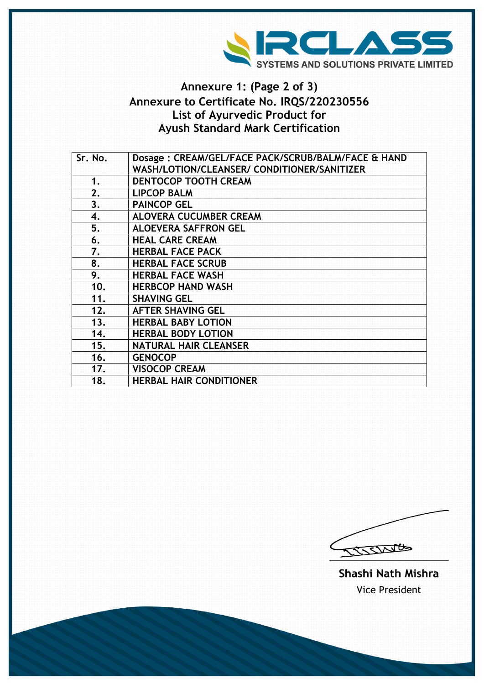

## **Annexure 1: (Page 2 of 3) Annexure to Certificate No. IRQS/220230556 List of Ayurvedic Product for Ayush Standard Mark Certification**

| Sr. No. | Dosage: CREAM/GEL/FACE PACK/SCRUB/BALM/FACE & HAND |
|---------|----------------------------------------------------|
|         | WASH/LOTION/CLEANSER/ CONDITIONER/SANITIZER        |
| 1.      | <b>DENTOCOP TOOTH CREAM</b>                        |
| 2.      | <b>LIPCOP BALM</b>                                 |
| 3.      | <b>PAINCOP GEL</b>                                 |
| 4.      | <b>ALOVERA CUCUMBER CREAM</b>                      |
| 5.      | <b>ALOEVERA SAFFRON GEL</b>                        |
| 6.      | <b>HEAL CARE CREAM</b>                             |
| 7.      | <b>HERBAL FACE PACK</b>                            |
| 8.      | <b>HERBAL FACE SCRUB</b>                           |
| 9.      | <b>HERBAL FACE WASH</b>                            |
| 10.     | <b>HERBCOP HAND WASH</b>                           |
| 11.     | <b>SHAVING GEL</b>                                 |
| 12.     | <b>AFTER SHAVING GEL</b>                           |
| 13.     | <b>HERBAL BABY LOTION</b>                          |
| 14.     | <b>HERBAL BODY LOTION</b>                          |
| 15.     | <b>NATURAL HAIR CLEANSER</b>                       |
| 16.     | <b>GENOCOP</b>                                     |
| 17.     | <b>VISOCOP CREAM</b>                               |
| 18.     | <b>HERBAL HAIR CONDITIONER</b>                     |
|         |                                                    |

CISSINGS

Shashi Nath Mishra **Vice President**